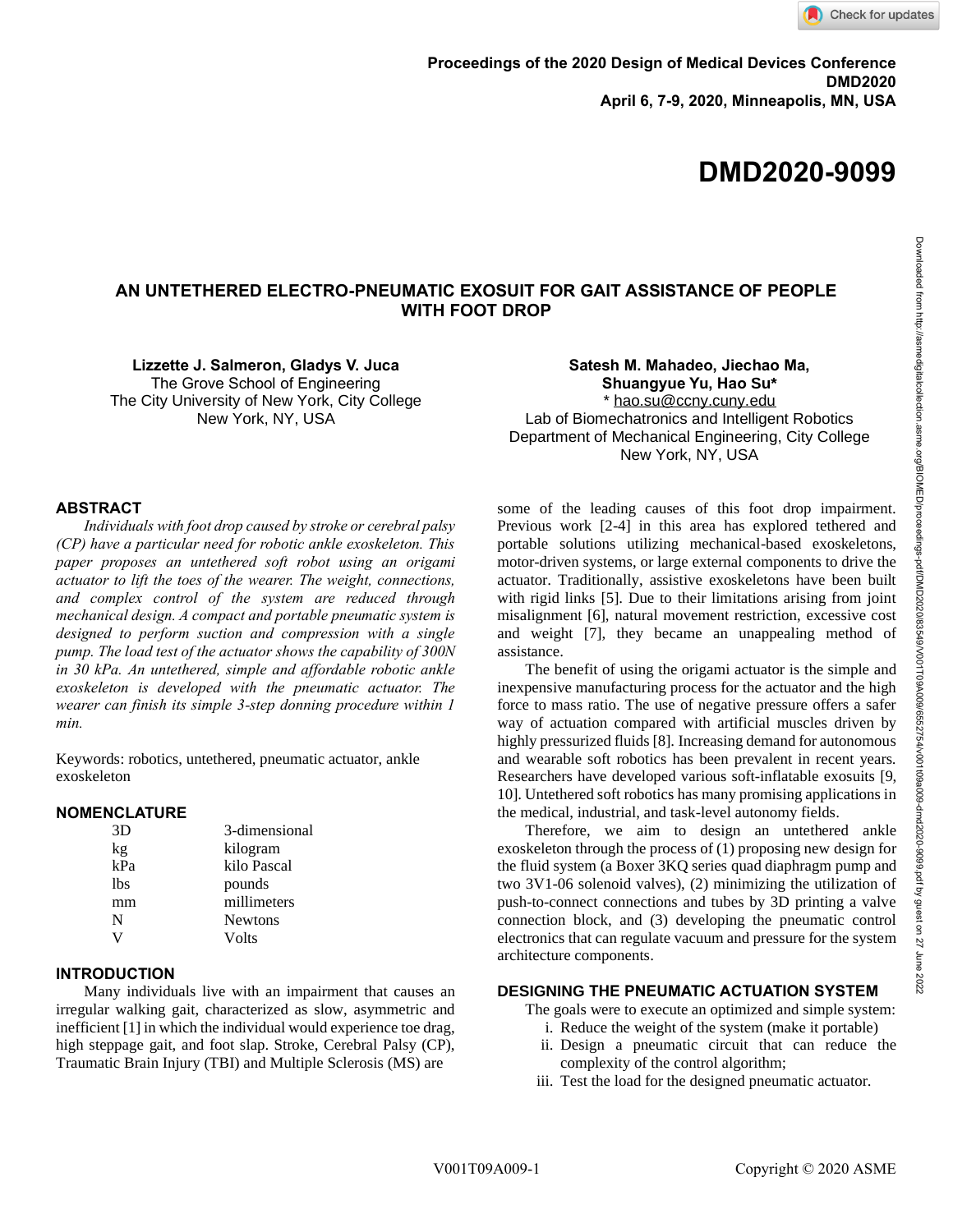# **DMD2020-9099**

# **AN UNTETHERED ELECTRO-PNEUMATIC EXOSUIT FOR GAIT ASSISTANCE OF PEOPLE WITH FOOT DROP**

**Lizzette J. Salmeron, Gladys V. Juca** The Grove School of Engineering The City University of New York, City College New York, NY, USA

#### **ABSTRACT**

*Individuals with foot drop caused by stroke or cerebral palsy (CP) have a particular need for robotic ankle exoskeleton. This paper proposes an untethered soft robot using an origami actuator to lift the toes of the wearer. The weight, connections, and complex control of the system are reduced through mechanical design. A compact and portable pneumatic system is designed to perform suction and compression with a single pump. The load test of the actuator shows the capability of 300N in 30 kPa. An untethered, simple and affordable robotic ankle exoskeleton is developed with the pneumatic actuator. The wearer can finish its simple 3-step donning procedure within 1 min.*

Keywords: robotics, untethered, pneumatic actuator, ankle exoskeleton

#### **NOMENCLATURE**

| 3D  | 3-dimensional  |
|-----|----------------|
| kg  | kilogram       |
| kPa | kilo Pascal    |
| lbs | pounds         |
| mm  | millimeters    |
| N   | <b>Newtons</b> |
|     | Volts          |
|     |                |

#### **INTRODUCTION**

Many individuals live with an impairment that causes an irregular walking gait, characterized as slow, asymmetric and inefficient [1] in which the individual would experience toe drag, high steppage gait, and foot slap. Stroke, Cerebral Palsy (CP), Traumatic Brain Injury (TBI) and Multiple Sclerosis (MS) are

**Satesh M. Mahadeo, Jiechao Ma, Shuangyue Yu, Hao Su\*** \* [hao.su@ccny.cuny.edu](mailto:hao.su@ccny.cuny.edu) Lab of Biomechatronics and Intelligent Robotics Department of Mechanical Engineering, City College New York, NY, USA

some of the leading causes of this foot drop impairment. Previous work [2-4] in this area has explored tethered and portable solutions utilizing mechanical-based exoskeletons, motor-driven systems, or large external components to drive the actuator. Traditionally, assistive exoskeletons have been built with rigid links [5]. Due to their limitations arising from joint misalignment [6], natural movement restriction, excessive cost and weight [7], they became an unappealing method of assistance.

The benefit of using the origami actuator is the simple and inexpensive manufacturing process for the actuator and the high force to mass ratio. The use of negative pressure offers a safer way of actuation compared with artificial muscles driven by highly pressurized fluids [8]. Increasing demand for autonomous and wearable soft robotics has been prevalent in recent years. Researchers have developed various soft-inflatable exosuits [9, 10]. Untethered soft robotics has many promising applications in the medical, industrial, and task-level autonomy fields.

Therefore, we aim to design an untethered ankle exoskeleton through the process of (1) proposing new design for the fluid system (a Boxer 3KQ series quad diaphragm pump and two 3V1-06 solenoid valves), (2) minimizing the utilization of push-to-connect connections and tubes by 3D printing a valve connection block, and (3) developing the pneumatic control electronics that can regulate vacuum and pressure for the system architecture components.

## **DESIGNING THE PNEUMATIC ACTUATION SYSTEM**

The goals were to execute an optimized and simple system:

- i. Reduce the weight of the system (make it portable)
- ii. Design a pneumatic circuit that can reduce the complexity of the control algorithm;
- iii. Test the load for the designed pneumatic actuator.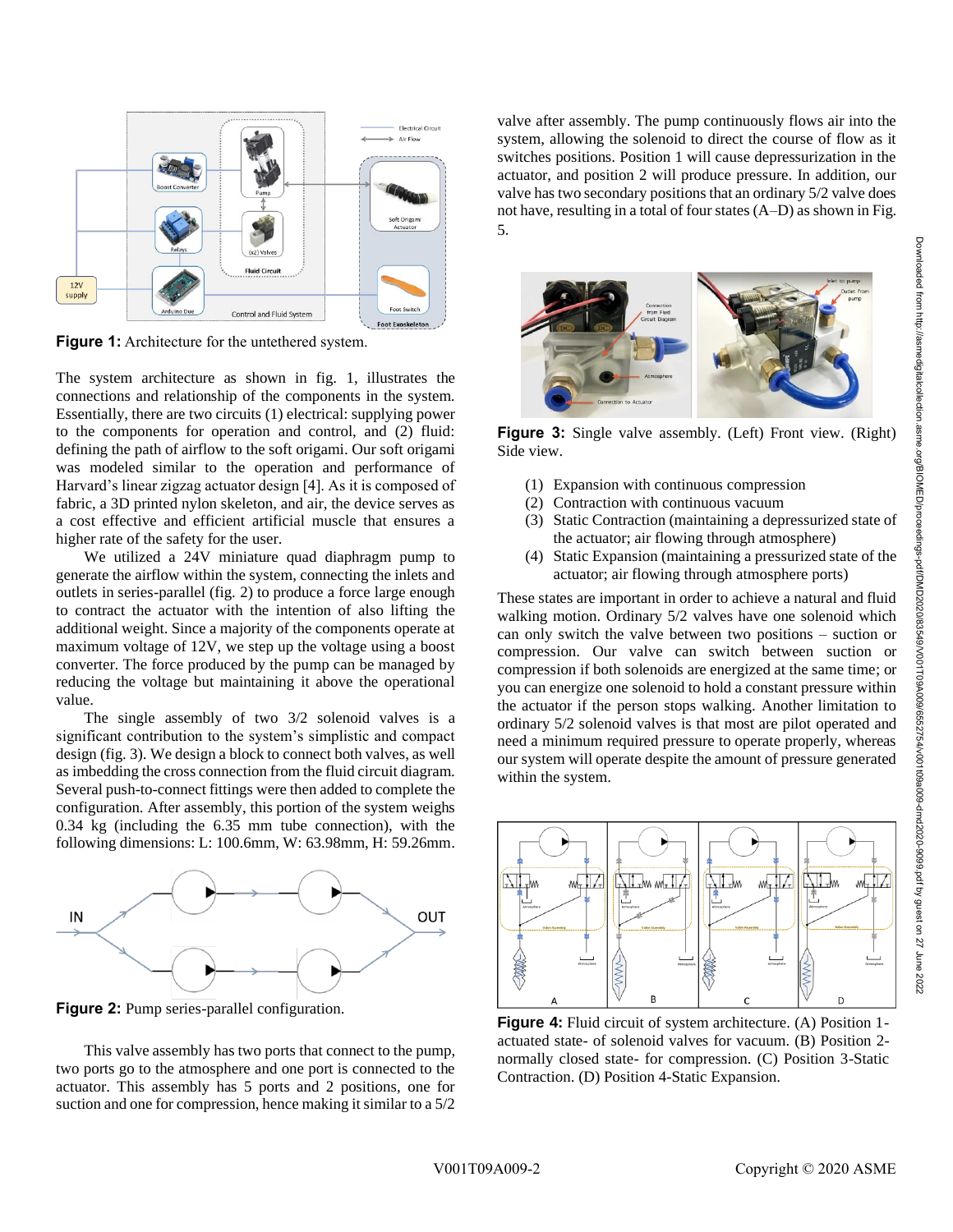

**Figure 1:** Architecture for the untethered system.

The system architecture as shown in fig. 1, illustrates the connections and relationship of the components in the system. Essentially, there are two circuits (1) electrical: supplying power to the components for operation and control, and (2) fluid: defining the path of airflow to the soft origami. Our soft origami was modeled similar to the operation and performance of Harvard's linear zigzag actuator design [4]. As it is composed of fabric, a 3D printed nylon skeleton, and air, the device serves as a cost effective and efficient artificial muscle that ensures a higher rate of the safety for the user.

We utilized a 24V miniature quad diaphragm pump to generate the airflow within the system, connecting the inlets and outlets in series-parallel (fig. 2) to produce a force large enough to contract the actuator with the intention of also lifting the additional weight. Since a majority of the components operate at maximum voltage of 12V, we step up the voltage using a boost converter. The force produced by the pump can be managed by reducing the voltage but maintaining it above the operational value.

The single assembly of two 3/2 solenoid valves is a significant contribution to the system's simplistic and compact design (fig. 3). We design a block to connect both valves, as well as imbedding the cross connection from the fluid circuit diagram. Several push-to-connect fittings were then added to complete the configuration. After assembly, this portion of the system weighs 0.34 kg (including the 6.35 mm tube connection), with the following dimensions: L: 100.6mm, W: 63.98mm, H: 59.26mm.



**Figure 2:** Pump series-parallel configuration.

This valve assembly has two ports that connect to the pump, two ports go to the atmosphere and one port is connected to the actuator. This assembly has 5 ports and 2 positions, one for suction and one for compression, hence making it similar to a 5/2

valve after assembly. The pump continuously flows air into the system, allowing the solenoid to direct the course of flow as it switches positions. Position 1 will cause depressurization in the actuator, and position 2 will produce pressure. In addition, our valve has two secondary positions that an ordinary 5/2 valve does not have, resulting in a total of four states (A–D) as shown in Fig. 5.



**Figure 3:** Single valve assembly. (Left) Front view. (Right) Side view.

- (1) Expansion with continuous compression
- (2) Contraction with continuous vacuum
- (3) Static Contraction (maintaining a depressurized state of the actuator; air flowing through atmosphere)
- (4) Static Expansion (maintaining a pressurized state of the actuator; air flowing through atmosphere ports)

These states are important in order to achieve a natural and fluid walking motion. Ordinary 5/2 valves have one solenoid which can only switch the valve between two positions – suction or compression. Our valve can switch between suction or compression if both solenoids are energized at the same time; or you can energize one solenoid to hold a constant pressure within the actuator if the person stops walking. Another limitation to ordinary 5/2 solenoid valves is that most are pilot operated and need a minimum required pressure to operate properly, whereas our system will operate despite the amount of pressure generated within the system.



**Figure 4:** Fluid circuit of system architecture. (A) Position 1 actuated state- of solenoid valves for vacuum. (B) Position 2 normally closed state- for compression. (C) Position 3-Static Contraction. (D) Position 4-Static Expansion.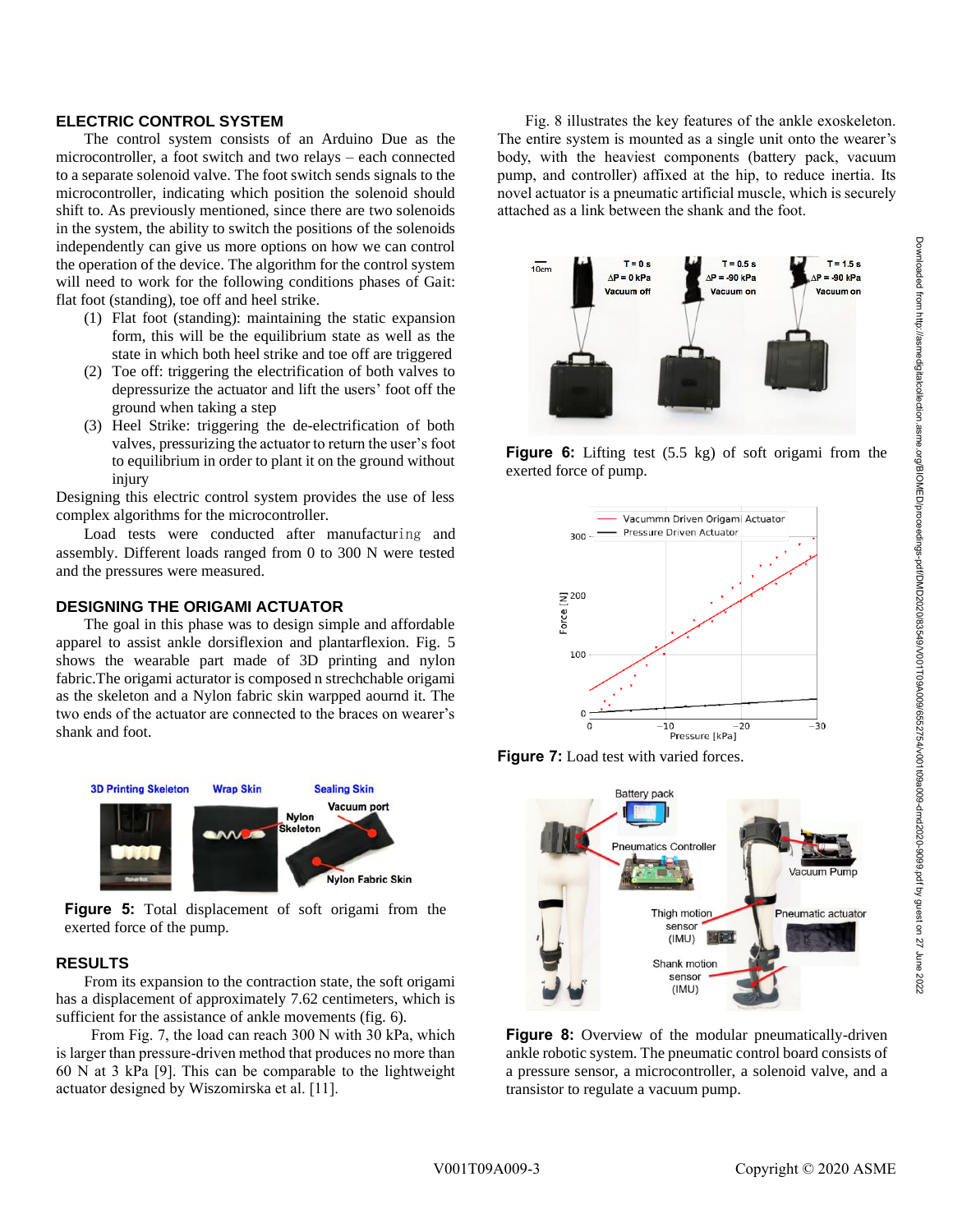#### **ELECTRIC CONTROL SYSTEM**

The control system consists of an Arduino Due as the microcontroller, a foot switch and two relays – each connected to a separate solenoid valve. The foot switch sends signals to the microcontroller, indicating which position the solenoid should shift to. As previously mentioned, since there are two solenoids in the system, the ability to switch the positions of the solenoids independently can give us more options on how we can control the operation of the device. The algorithm for the control system will need to work for the following conditions phases of Gait: flat foot (standing), toe off and heel strike.

- (1) Flat foot (standing): maintaining the static expansion form, this will be the equilibrium state as well as the state in which both heel strike and toe off are triggered
- (2) Toe off: triggering the electrification of both valves to depressurize the actuator and lift the users' foot off the ground when taking a step
- (3) Heel Strike: triggering the de-electrification of both valves, pressurizing the actuator to return the user's foot to equilibrium in order to plant it on the ground without injury

Designing this electric control system provides the use of less complex algorithms for the microcontroller.

Load tests were conducted after manufacturing and assembly. Different loads ranged from 0 to 300 N were tested and the pressures were measured.

## **DESIGNING THE ORIGAMI ACTUATOR**

The goal in this phase was to design simple and affordable apparel to assist ankle dorsiflexion and plantarflexion. Fig. 5 shows the wearable part made of 3D printing and nylon fabric.The origami acturator is composed n strechchable origami as the skeleton and a Nylon fabric skin warpped aournd it. The two ends of the actuator are connected to the braces on wearer's shank and foot.



**Figure 5:** Total displacement of soft origami from the exerted force of the pump.

#### **RESULTS**

From its expansion to the contraction state, the soft origami has a displacement of approximately 7.62 centimeters, which is sufficient for the assistance of ankle movements (fig. 6).

From Fig. 7, the load can reach 300 N with 30 kPa, which is larger than pressure-driven method that produces no more than 60 N at 3 kPa [9]. This can be comparable to the lightweight actuator designed by Wiszomirska et al. [11].

Fig. 8 illustrates the key features of the ankle exoskeleton. The entire system is mounted as a single unit onto the wearer's body, with the heaviest components (battery pack, vacuum pump, and controller) affixed at the hip, to reduce inertia. Its novel actuator is a pneumatic artificial muscle, which is securely attached as a link between the shank and the foot.



**Figure 6:** Lifting test (5.5 kg) of soft origami from the exerted force of pump.







**Figure 8:** Overview of the modular pneumatically-driven ankle robotic system. The pneumatic control board consists of a pressure sensor, a microcontroller, a solenoid valve, and a transistor to regulate a vacuum pump.